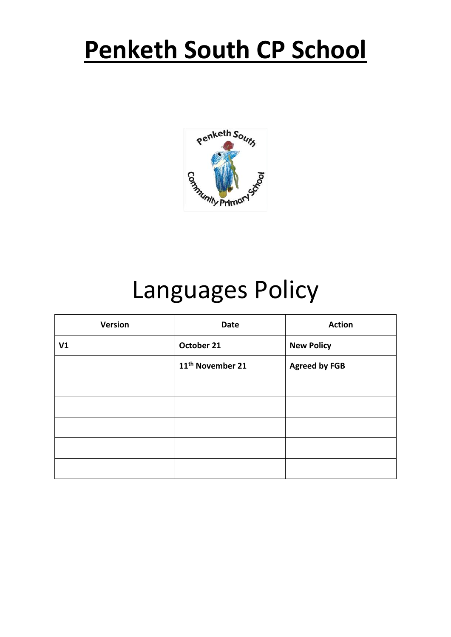# **Penketh South CP School**



# Languages Policy

| <b>Version</b> | <b>Date</b>                  | <b>Action</b>        |
|----------------|------------------------------|----------------------|
| V1             | October 21                   | <b>New Policy</b>    |
|                | 11 <sup>th</sup> November 21 | <b>Agreed by FGB</b> |
|                |                              |                      |
|                |                              |                      |
|                |                              |                      |
|                |                              |                      |
|                |                              |                      |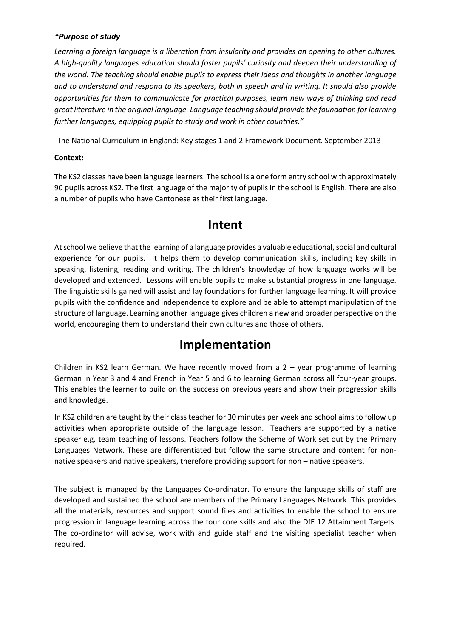#### *"Purpose of study*

*Learning a foreign language is a liberation from insularity and provides an opening to other cultures. A high-quality languages education should foster pupils' curiosity and deepen their understanding of the world. The teaching should enable pupils to express their ideas and thoughts in another language and to understand and respond to its speakers, both in speech and in writing. It should also provide opportunities for them to communicate for practical purposes, learn new ways of thinking and read great literature in the original language. Language teaching should provide the foundation for learning further languages, equipping pupils to study and work in other countries."* 

-The National Curriculum in England: Key stages 1 and 2 Framework Document. September 2013

#### **Context:**

The KS2 classes have been language learners. The school is a one form entry school with approximately 90 pupils across KS2. The first language of the majority of pupils in the school is English. There are also a number of pupils who have Cantonese as their first language.

### **Intent**

At school we believe that the learning of a language provides a valuable educational, social and cultural experience for our pupils. It helps them to develop communication skills, including key skills in speaking, listening, reading and writing. The children's knowledge of how language works will be developed and extended. Lessons will enable pupils to make substantial progress in one language. The linguistic skills gained will assist and lay foundations for further language learning. It will provide pupils with the confidence and independence to explore and be able to attempt manipulation of the structure of language. Learning another language gives children a new and broader perspective on the world, encouraging them to understand their own cultures and those of others.

## **Implementation**

Children in KS2 learn German. We have recently moved from a 2 – year programme of learning German in Year 3 and 4 and French in Year 5 and 6 to learning German across all four-year groups. This enables the learner to build on the success on previous years and show their progression skills and knowledge.

In KS2 children are taught by their class teacher for 30 minutes per week and school aims to follow up activities when appropriate outside of the language lesson. Teachers are supported by a native speaker e.g. team teaching of lessons. Teachers follow the Scheme of Work set out by the Primary Languages Network. These are differentiated but follow the same structure and content for nonnative speakers and native speakers, therefore providing support for non – native speakers.

The subject is managed by the Languages Co-ordinator. To ensure the language skills of staff are developed and sustained the school are members of the Primary Languages Network. This provides all the materials, resources and support sound files and activities to enable the school to ensure progression in language learning across the four core skills and also the DfE 12 Attainment Targets. The co-ordinator will advise, work with and guide staff and the visiting specialist teacher when required.